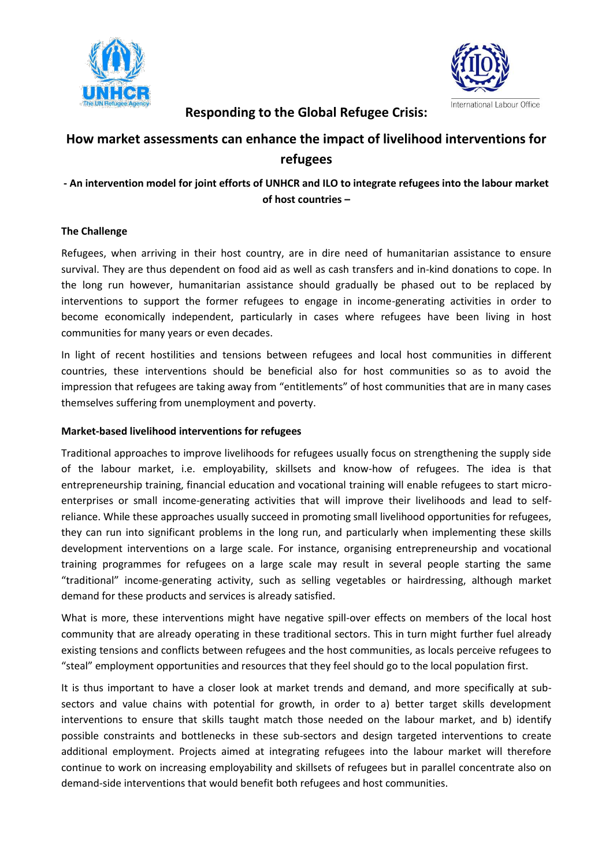



# **Responding to the Global Refugee Crisis:**

# **How market assessments can enhance the impact of livelihood interventions for refugees**

# **- An intervention model for joint efforts of UNHCR and ILO to integrate refugees into the labour market of host countries –**

## **The Challenge**

Refugees, when arriving in their host country, are in dire need of humanitarian assistance to ensure survival. They are thus dependent on food aid as well as cash transfers and in-kind donations to cope. In the long run however, humanitarian assistance should gradually be phased out to be replaced by interventions to support the former refugees to engage in income-generating activities in order to become economically independent, particularly in cases where refugees have been living in host communities for many years or even decades.

In light of recent hostilities and tensions between refugees and local host communities in different countries, these interventions should be beneficial also for host communities so as to avoid the impression that refugees are taking away from "entitlements" of host communities that are in many cases themselves suffering from unemployment and poverty.

### **Market-based livelihood interventions for refugees**

Traditional approaches to improve livelihoods for refugees usually focus on strengthening the supply side of the labour market, i.e. employability, skillsets and know-how of refugees. The idea is that entrepreneurship training, financial education and vocational training will enable refugees to start microenterprises or small income-generating activities that will improve their livelihoods and lead to selfreliance. While these approaches usually succeed in promoting small livelihood opportunities for refugees, they can run into significant problems in the long run, and particularly when implementing these skills development interventions on a large scale. For instance, organising entrepreneurship and vocational training programmes for refugees on a large scale may result in several people starting the same "traditional" income-generating activity, such as selling vegetables or hairdressing, although market demand for these products and services is already satisfied.

What is more, these interventions might have negative spill-over effects on members of the local host community that are already operating in these traditional sectors. This in turn might further fuel already existing tensions and conflicts between refugees and the host communities, as locals perceive refugees to "steal" employment opportunities and resources that they feel should go to the local population first.

It is thus important to have a closer look at market trends and demand, and more specifically at subsectors and value chains with potential for growth, in order to a) better target skills development interventions to ensure that skills taught match those needed on the labour market, and b) identify possible constraints and bottlenecks in these sub-sectors and design targeted interventions to create additional employment. Projects aimed at integrating refugees into the labour market will therefore continue to work on increasing employability and skillsets of refugees but in parallel concentrate also on demand-side interventions that would benefit both refugees and host communities.